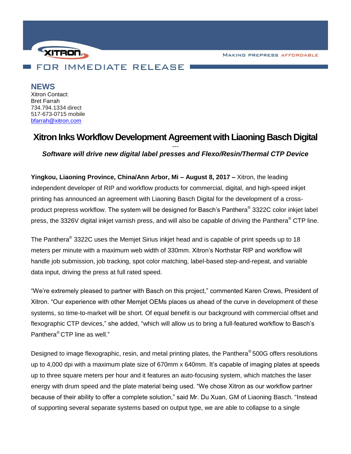**MAKING PREPRESS AFFORDABLE** 



**NEWS** Xitron Contact: Bret Farrah 734.794.1334 direct 517-673-0715 mobile [bfarrah@xitron.com](mailto:bfarrah@xitron.com)

## **Xitron Inks Workflow Development Agreement with Liaoning Basch Digital**

*--- Software will drive new digital label presses and Flexo/Resin/Thermal CTP Device*

**Yingkou, Liaoning Province, China/Ann Arbor, Mi – August 8, 2017 –** Xitron, the leading independent developer of RIP and workflow products for commercial, digital, and high-speed inkjet printing has announced an agreement with Liaoning Basch Digital for the development of a crossproduct prepress workflow. The system will be designed for Basch's Panthera ® 3322C color inkjet label press, the 3326V digital inkjet varnish press, and will also be capable of driving the Panthera<sup>®</sup> CTP line.

The Panthera® 3322C uses the Memjet Sirius inkjet head and is capable of print speeds up to 18 meters per minute with a maximum web width of 330mm. Xitron's Northstar RIP and workflow will handle job submission, job tracking, spot color matching, label-based step-and-repeat, and variable data input, driving the press at full rated speed.

"We're extremely pleased to partner with Basch on this project," commented Karen Crews, President of Xitron. "Our experience with other Memjet OEMs places us ahead of the curve in development of these systems, so time-to-market will be short. Of equal benefit is our background with commercial offset and flexographic CTP devices," she added, "which will allow us to bring a full-featured workflow to Basch's Panthera® CTP line as well."

Designed to image flexographic, resin, and metal printing plates, the Panthera® 500G offers resolutions up to 4,000 dpi with a maximum plate size of 670mm x 640mm. It's capable of imaging plates at speeds up to three square meters per hour and it features an auto-focusing system, which matches the laser energy with drum speed and the plate material being used. "We chose Xitron as our workflow partner because of their ability to offer a complete solution," said Mr. Du Xuan, GM of Liaoning Basch. "Instead of supporting several separate systems based on output type, we are able to collapse to a single